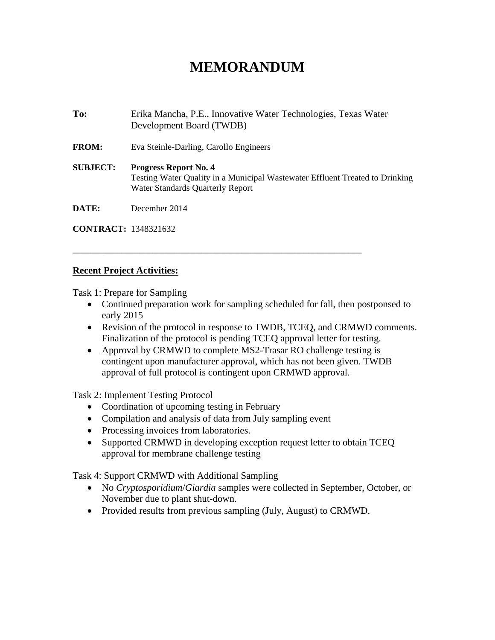## **MEMORANDUM**

**To:** Erika Mancha, P.E., Innovative Water Technologies, Texas Water Development Board (TWDB) **FROM:** Eva Steinle-Darling, Carollo Engineers **SUBJECT: Progress Report No. 4**  Testing Water Quality in a Municipal Wastewater Effluent Treated to Drinking Water Standards Quarterly Report **DATE:** December 2014

\_\_\_\_\_\_\_\_\_\_\_\_\_\_\_\_\_\_\_\_\_\_\_\_\_\_\_\_\_\_\_\_\_\_\_\_\_\_\_\_\_\_\_\_\_\_\_\_\_\_\_\_\_\_\_\_\_\_\_\_\_\_\_\_\_

**CONTRACT:** 1348321632

## **Recent Project Activities:**

Task 1: Prepare for Sampling

- Continued preparation work for sampling scheduled for fall, then postponsed to early 2015
- Revision of the protocol in response to TWDB, TCEQ, and CRMWD comments. Finalization of the protocol is pending TCEQ approval letter for testing.
- Approval by CRMWD to complete MS2-Trasar RO challenge testing is contingent upon manufacturer approval, which has not been given. TWDB approval of full protocol is contingent upon CRMWD approval.

Task 2: Implement Testing Protocol

- Coordination of upcoming testing in February
- Compilation and analysis of data from July sampling event
- Processing invoices from laboratories.
- Supported CRMWD in developing exception request letter to obtain TCEQ approval for membrane challenge testing

Task 4: Support CRMWD with Additional Sampling

- No *Cryptosporidium*/*Giardia* samples were collected in September, October, or November due to plant shut-down.
- Provided results from previous sampling (July, August) to CRMWD.